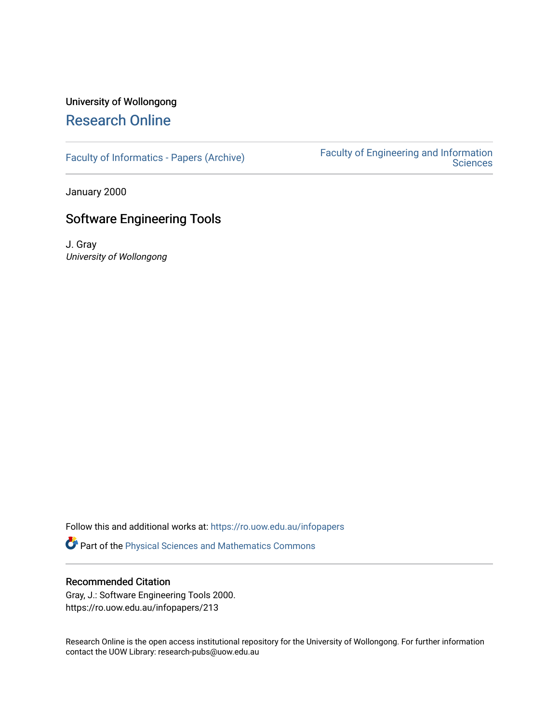## University of Wollongong [Research Online](https://ro.uow.edu.au/)

[Faculty of Informatics - Papers \(Archive\)](https://ro.uow.edu.au/infopapers) [Faculty of Engineering and Information](https://ro.uow.edu.au/eis)  **Sciences** 

January 2000

# Software Engineering Tools

J. Gray University of Wollongong

Follow this and additional works at: [https://ro.uow.edu.au/infopapers](https://ro.uow.edu.au/infopapers?utm_source=ro.uow.edu.au%2Finfopapers%2F213&utm_medium=PDF&utm_campaign=PDFCoverPages) **P** Part of the Physical Sciences and Mathematics Commons

### Recommended Citation

Gray, J.: Software Engineering Tools 2000. https://ro.uow.edu.au/infopapers/213

Research Online is the open access institutional repository for the University of Wollongong. For further information contact the UOW Library: research-pubs@uow.edu.au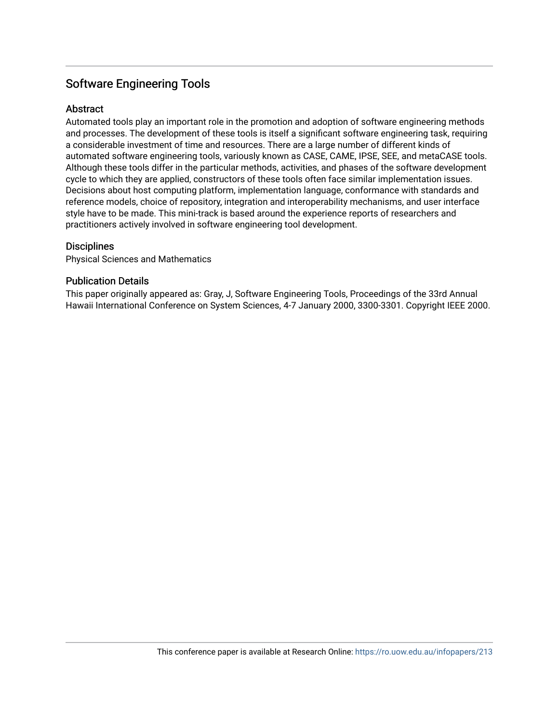# Software Engineering Tools

## **Abstract**

Automated tools play an important role in the promotion and adoption of software engineering methods and processes. The development of these tools is itself a significant software engineering task, requiring a considerable investment of time and resources. There are a large number of different kinds of automated software engineering tools, variously known as CASE, CAME, IPSE, SEE, and metaCASE tools. Although these tools differ in the particular methods, activities, and phases of the software development cycle to which they are applied, constructors of these tools often face similar implementation issues. Decisions about host computing platform, implementation language, conformance with standards and reference models, choice of repository, integration and interoperability mechanisms, and user interface style have to be made. This mini-track is based around the experience reports of researchers and practitioners actively involved in software engineering tool development.

## **Disciplines**

Physical Sciences and Mathematics

### Publication Details

This paper originally appeared as: Gray, J, Software Engineering Tools, Proceedings of the 33rd Annual Hawaii International Conference on System Sciences, 4-7 January 2000, 3300-3301. Copyright IEEE 2000.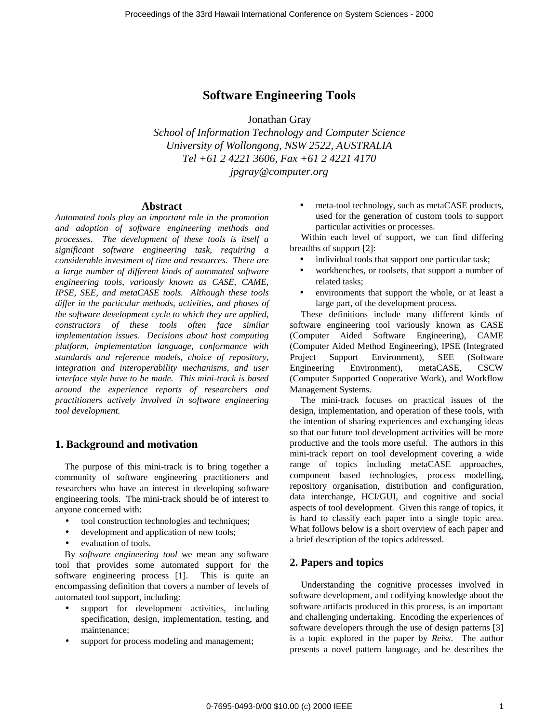## **Software Engineering Tools**

Jonathan Gray

*School of Information Technology and Computer Science University of Wollongong, NSW 2522, AUSTRALIA Tel +61 2 4221 3606, Fax +61 2 4221 4170 jpgray@computer.org*

#### **Abstract**

*Automated tools play an important role in the promotion and adoption of software engineering methods and processes. The development of these tools is itself a significant software engineering task, requiring a considerable investment of time and resources. There are a large number of different kinds of automated software engineering tools, variously known as CASE, CAME, IPSE, SEE, and metaCASE tools. Although these tools differ in the particular methods, activities, and phases of the software development cycle to which they are applied, constructors of these tools often face similar implementation issues. Decisions about host computing platform, implementation language, conformance with standards and reference models, choice of repository, integration and interoperability mechanisms, and user interface style have to be made. This mini-track is based around the experience reports of researchers and practitioners actively involved in software engineering tool development.*

### **1. Background and motivation**

The purpose of this mini-track is to bring together a community of software engineering practitioners and researchers who have an interest in developing software engineering tools. The mini-track should be of interest to anyone concerned with:

- tool construction technologies and techniques;
- development and application of new tools;
- evaluation of tools.

By *software engineering tool* we mean any software tool that provides some automated support for the software engineering process [1]. This is quite an encompassing definition that covers a number of levels of automated tool support, including:

- support for development activities, including specification, design, implementation, testing, and maintenance;
- support for process modeling and management;

meta-tool technology, such as metaCASE products, used for the generation of custom tools to support particular activities or processes.

Within each level of support, we can find differing breadths of support [2]:

- individual tools that support one particular task;
- workbenches, or toolsets, that support a number of related tasks;
- environments that support the whole, or at least a large part, of the development process.

These definitions include many different kinds of software engineering tool variously known as CASE (Computer Aided Software Engineering), CAME (Computer Aided Method Engineering), IPSE (Integrated Project Support Environment), SEE (Software Engineering Environment), metaCASE, CSCW (Computer Supported Cooperative Work), and Workflow Management Systems.

The mini-track focuses on practical issues of the design, implementation, and operation of these tools, with the intention of sharing experiences and exchanging ideas so that our future tool development activities will be more productive and the tools more useful. The authors in this mini-track report on tool development covering a wide range of topics including metaCASE approaches, component based technologies, process modelling, repository organisation, distribution and configuration, data interchange, HCI/GUI, and cognitive and social aspects of tool development. Given this range of topics, it is hard to classify each paper into a single topic area. What follows below is a short overview of each paper and a brief description of the topics addressed.

### **2. Papers and topics**

Understanding the cognitive processes involved in software development, and codifying knowledge about the software artifacts produced in this process, is an important and challenging undertaking. Encoding the experiences of software developers through the use of design patterns [3] is a topic explored in the paper by *Reiss*. The author presents a novel pattern language, and he describes the